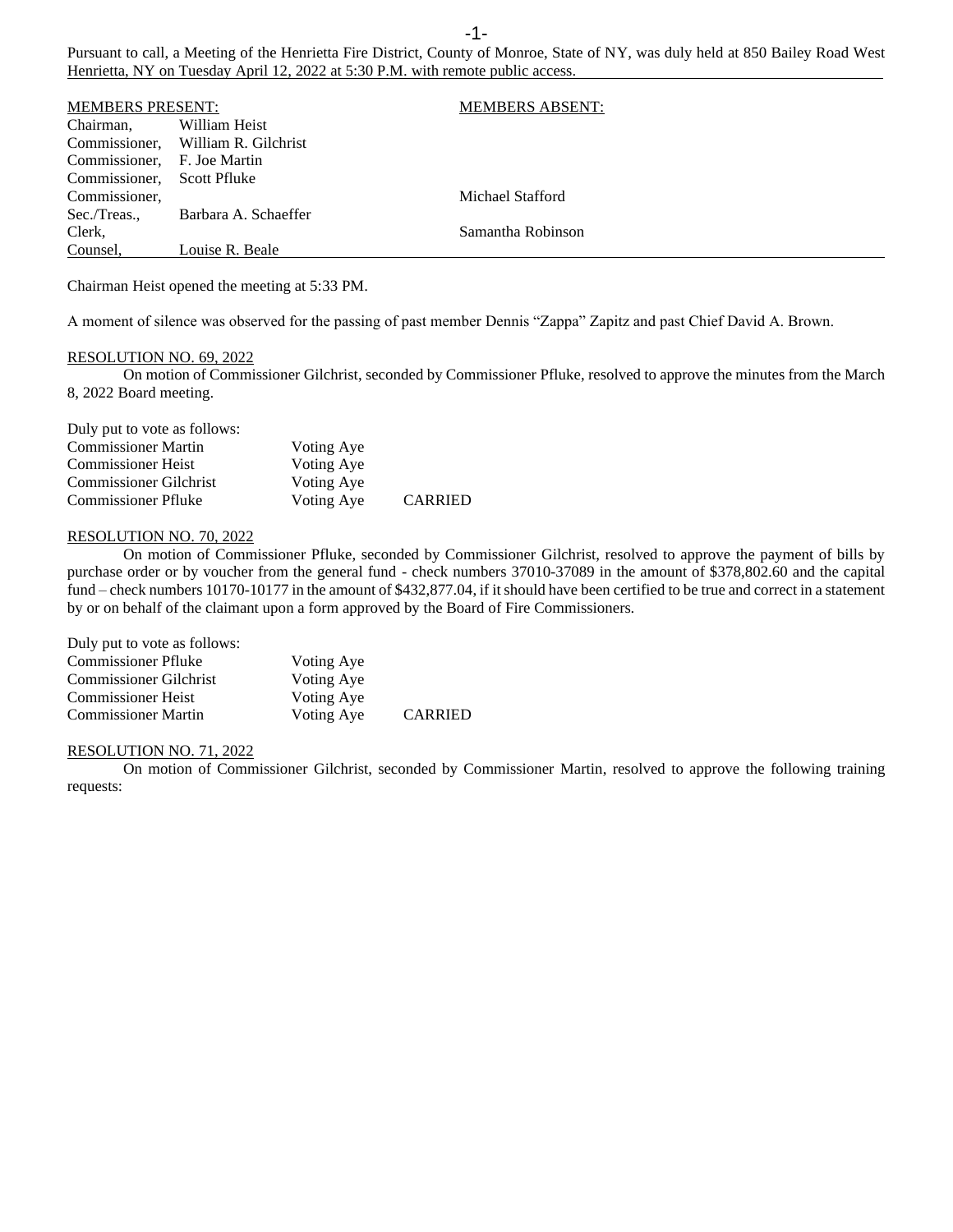Pursuant to call, a Meeting of the Henrietta Fire District, County of Monroe, State of NY, was duly held at 850 Bailey Road West Henrietta, NY on Tuesday April 12, 2022 at 5:30 P.M. with remote public access.

| <b>MEMBERS PRESENT:</b> |                                    | <b>MEMBERS ABSENT:</b> |
|-------------------------|------------------------------------|------------------------|
| Chairman,               | William Heist                      |                        |
|                         | Commissioner, William R. Gilchrist |                        |
| Commissioner,           | F. Joe Martin                      |                        |
| Commissioner.           | Scott Pfluke                       |                        |
| Commissioner,           |                                    | Michael Stafford       |
| Sec./Treas.,            | Barbara A. Schaeffer               |                        |
| Clerk,                  |                                    | Samantha Robinson      |
| Counsel.                | Louise R. Beale                    |                        |

Chairman Heist opened the meeting at 5:33 PM.

A moment of silence was observed for the passing of past member Dennis "Zappa" Zapitz and past Chief David A. Brown.

## RESOLUTION NO. 69, 2022

On motion of Commissioner Gilchrist, seconded by Commissioner Pfluke, resolved to approve the minutes from the March 8, 2022 Board meeting.

| Duly put to vote as follows:  |            |                |
|-------------------------------|------------|----------------|
| <b>Commissioner Martin</b>    | Voting Aye |                |
| <b>Commissioner Heist</b>     | Voting Aye |                |
| <b>Commissioner Gilchrist</b> | Voting Aye |                |
| <b>Commissioner Pfluke</b>    | Voting Aye | <b>CARRIED</b> |

### RESOLUTION NO. 70, 2022

On motion of Commissioner Pfluke, seconded by Commissioner Gilchrist, resolved to approve the payment of bills by purchase order or by voucher from the general fund - check numbers 37010-37089 in the amount of \$378,802.60 and the capital fund – check numbers 10170-10177 in the amount of \$432,877.04, if it should have been certified to be true and correct in a statement by or on behalf of the claimant upon a form approved by the Board of Fire Commissioners.

| Duly put to vote as follows:  |            |                |
|-------------------------------|------------|----------------|
| <b>Commissioner Pfluke</b>    | Voting Aye |                |
| <b>Commissioner Gilchrist</b> | Voting Aye |                |
| <b>Commissioner Heist</b>     | Voting Aye |                |
| <b>Commissioner Martin</b>    | Voting Aye | <b>CARRIED</b> |

## RESOLUTION NO. 71, 2022

On motion of Commissioner Gilchrist, seconded by Commissioner Martin, resolved to approve the following training requests: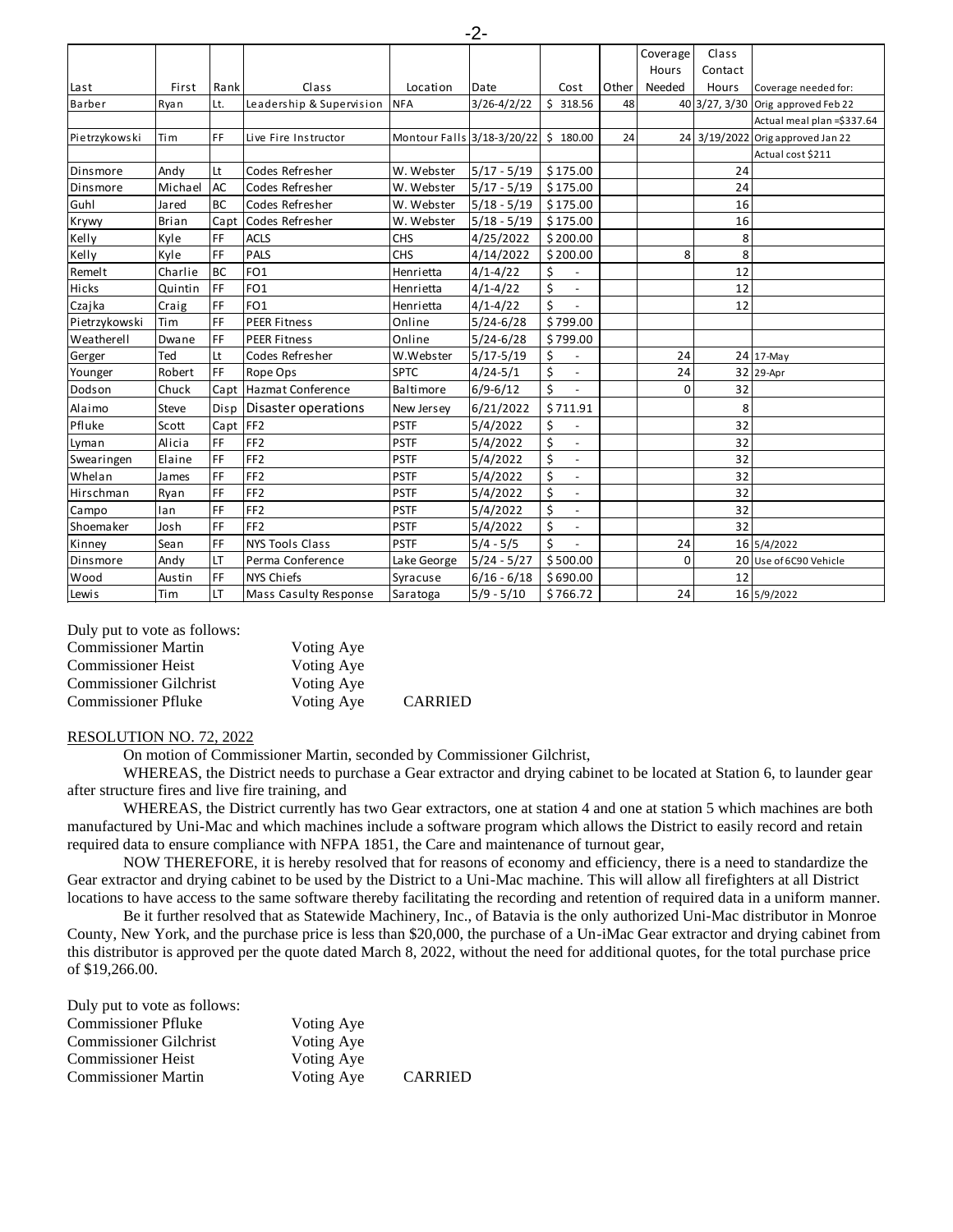|               |              |           |                              |                                      |                 |                                |       | Coverage | Class   |                                    |
|---------------|--------------|-----------|------------------------------|--------------------------------------|-----------------|--------------------------------|-------|----------|---------|------------------------------------|
|               |              |           |                              |                                      |                 |                                |       | Hours    | Contact |                                    |
| Last          | First        | Rank      | Class                        | Location                             | Date            | Cost                           | Other | Needed   | Hours   | Coverage needed for:               |
| Barber        | Ryan         | Lt.       | Leadership & Supervision     | <b>NFA</b>                           | $3/26 - 4/2/22$ | \$318.56                       | 48    |          |         | 40 3/27, 3/30 Orig approved Feb 22 |
|               |              |           |                              |                                      |                 |                                |       |          |         | Actual meal plan = \$337.64        |
| Pietrzykowski | Tim          | FF        | Live Fire Instructor         | Montour Falls 3/18-3/20/22 \$ 180.00 |                 |                                | 24    |          |         | 24 3/19/2022 Origapproved Jan 22   |
|               |              |           |                              |                                      |                 |                                |       |          |         | Actual cost \$211                  |
| Dinsmore      | Andy         | Lt        | Codes Refresher              | W. Webster                           | $5/17 - 5/19$   | \$175.00                       |       |          | 24      |                                    |
| Dinsmore      | Michael      | <b>AC</b> | Codes Refresher              | W. Webster                           | $5/17 - 5/19$   | \$175.00                       |       |          | 24      |                                    |
| Guhl          | Jared        | <b>BC</b> | Codes Refresher              | W. Webster                           | $5/18 - 5/19$   | \$175.00                       |       |          | 16      |                                    |
| Krywy         | <b>Brian</b> | Capt      | Codes Refresher              | W. Webster                           | $5/18 - 5/19$   | \$175.00                       |       |          | 16      |                                    |
| Kelly         | Kyle         | FF        | <b>ACLS</b>                  | <b>CHS</b>                           | 4/25/2022       | \$200.00                       |       |          | 8       |                                    |
| Kelly         | Kyle         | FF        | <b>PALS</b>                  | <b>CHS</b>                           | 4/14/2022       | \$200.00                       |       | 8        | 8       |                                    |
| Remelt        | Charlie      | <b>BC</b> | FO <sub>1</sub>              | Henrietta                            | $4/1 - 4/22$    | \$                             |       |          | 12      |                                    |
| Hicks         | Quintin      | FF        | FO <sub>1</sub>              | Henrietta                            | $4/1 - 4/22$    | \$<br>$\overline{\phantom{a}}$ |       |          | 12      |                                    |
| Czajka        | Craig        | FF        | FO <sub>1</sub>              | Henrietta                            | $4/1 - 4/22$    | Ś<br>$\overline{\phantom{a}}$  |       |          | 12      |                                    |
| Pietrzykowski | Tim          | FF        | <b>PEER Fitness</b>          | Online                               | $5/24 - 6/28$   | \$799.00                       |       |          |         |                                    |
| Weatherell    | Dwane        | FF        | <b>PEER Fitness</b>          | Online                               | $5/24 - 6/28$   | \$799.00                       |       |          |         |                                    |
| Gerger        | Ted          | Lt        | Codes Refresher              | W.Webster                            | $5/17 - 5/19$   | \$                             |       | 24       |         | 24 17-May                          |
| Younger       | Robert       | FF        | Rope Ops                     | <b>SPTC</b>                          | $4/24 - 5/1$    | \$<br>$\overline{\phantom{a}}$ |       | 24       |         | 32 29-Apr                          |
| Dodson        | Chuck        | Capt      | Hazmat Conference            | Baltimore                            | $6/9 - 6/12$    | Ś<br>$\blacksquare$            |       | $\Omega$ | 32      |                                    |
| Alaimo        | Steve        | Disp      | Disaster operations          | New Jersey                           | 6/21/2022       | \$711.91                       |       |          | 8       |                                    |
| Pfluke        | Scott        | Capt      | FF <sub>2</sub>              | <b>PSTF</b>                          | 5/4/2022        | \$                             |       |          | 32      |                                    |
| Lyman         | Alicia       | FF        | FF <sub>2</sub>              | <b>PSTF</b>                          | 5/4/2022        | \$<br>$\overline{\phantom{a}}$ |       |          | 32      |                                    |
| Swearingen    | Elaine       | FF        | FF <sub>2</sub>              | <b>PSTF</b>                          | 5/4/2022        | \$<br>$\overline{a}$           |       |          | 32      |                                    |
| Whelan        | <b>James</b> | FF        | FF <sub>2</sub>              | <b>PSTF</b>                          | 5/4/2022        | \$<br>$\overline{\phantom{a}}$ |       |          | 32      |                                    |
| Hirschman     | Ryan         | FF        | FF <sub>2</sub>              | <b>PSTF</b>                          | 5/4/2022        | \$<br>$\overline{\phantom{a}}$ |       |          | 32      |                                    |
| Campo         | lan          | FF        | FF <sub>2</sub>              | <b>PSTF</b>                          | 5/4/2022        | \$<br>$\overline{a}$           |       |          | 32      |                                    |
| Shoemaker     | Josh         | FF        | FF <sub>2</sub>              | <b>PSTF</b>                          | 5/4/2022        | \$<br>$\overline{\phantom{a}}$ |       |          | 32      |                                    |
| Kinney        | Sean         | FF        | <b>NYS Tools Class</b>       | <b>PSTF</b>                          | $5/4 - 5/5$     | \$<br>$\overline{\phantom{a}}$ |       | 24       |         | 16 5/4/2022                        |
| Dinsmore      | Andy         | LT        | Perma Conference             | Lake George                          | $5/24 - 5/27$   | \$500.00                       |       | $\Omega$ |         | 20 Use of 6C90 Vehicle             |
| Wood          | Austin       | FF        | <b>NYS Chiefs</b>            | Syracuse                             | $6/16 - 6/18$   | \$690.00                       |       |          | 12      |                                    |
| Lewis         | Tim          | LT        | <b>Mass Casulty Response</b> | Saratoga                             | $5/9 - 5/10$    | \$766.72                       |       | 24       |         | 16 5/9/2022                        |

Duly put to vote as follows:

| <b>Commissioner Martin</b>    | Voting Aye |                |
|-------------------------------|------------|----------------|
| <b>Commissioner Heist</b>     | Voting Aye |                |
| <b>Commissioner Gilchrist</b> | Voting Aye |                |
| <b>Commissioner Pfluke</b>    | Voting Aye | <b>CARRIED</b> |

## RESOLUTION NO. 72, 2022

On motion of Commissioner Martin, seconded by Commissioner Gilchrist,

WHEREAS, the District needs to purchase a Gear extractor and drying cabinet to be located at Station 6, to launder gear after structure fires and live fire training, and

WHEREAS, the District currently has two Gear extractors, one at station 4 and one at station 5 which machines are both manufactured by Uni-Mac and which machines include a software program which allows the District to easily record and retain required data to ensure compliance with NFPA 1851, the Care and maintenance of turnout gear,

NOW THEREFORE, it is hereby resolved that for reasons of economy and efficiency, there is a need to standardize the Gear extractor and drying cabinet to be used by the District to a Uni-Mac machine. This will allow all firefighters at all District locations to have access to the same software thereby facilitating the recording and retention of required data in a uniform manner.

Be it further resolved that as Statewide Machinery, Inc., of Batavia is the only authorized Uni-Mac distributor in Monroe County, New York, and the purchase price is less than \$20,000, the purchase of a Un-iMac Gear extractor and drying cabinet from this distributor is approved per the quote dated March 8, 2022, without the need for additional quotes, for the total purchase price of \$19,266.00.

| Duly put to vote as follows:  |            |                |
|-------------------------------|------------|----------------|
| <b>Commissioner Pfluke</b>    | Voting Aye |                |
| <b>Commissioner Gilchrist</b> | Voting Aye |                |
| <b>Commissioner Heist</b>     | Voting Aye |                |
| <b>Commissioner Martin</b>    | Voting Aye | <b>CARRIED</b> |